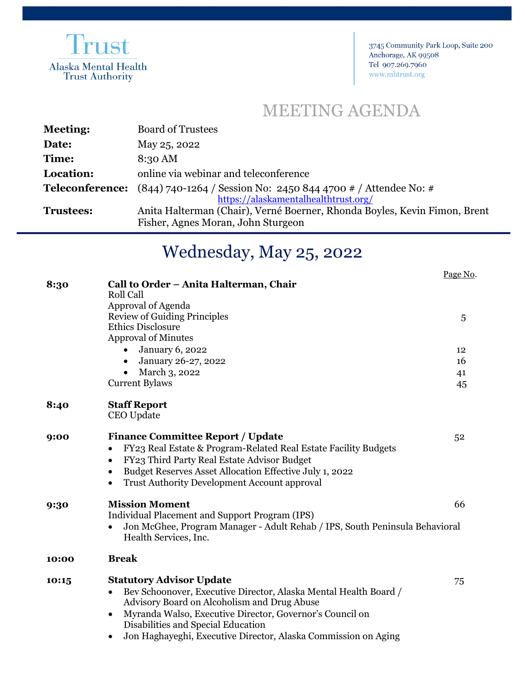

3745 Community Park Loop, Suite 200 Anchorage, AK 99508 Tel 907.269.7960 www.mhtrust.org

## MEETING AGENDA

| <b>Meeting:</b>  | <b>Board of Trustees</b>                                                               |
|------------------|----------------------------------------------------------------------------------------|
| Date:            | May 25, 2022                                                                           |
| Time:            | 8:30 AM                                                                                |
| Location:        | online via webinar and teleconference                                                  |
|                  | <b>Teleconference:</b> $(844)$ 740-1264 / Session No: 2450 844 4700 # / Attendee No: # |
|                  | https://alaskamentalhealthtrust.org/                                                   |
| <b>Trustees:</b> | Anita Halterman (Chair), Verné Boerner, Rhonda Boyles, Kevin Fimon, Brent              |
|                  | Fisher, Agnes Moran, John Sturgeon                                                     |
|                  |                                                                                        |

## Wednesday, May 25, 2022

|       |                                                                                          | Page No. |
|-------|------------------------------------------------------------------------------------------|----------|
| 8:30  | Call to Order - Anita Halterman, Chair                                                   |          |
|       | <b>Roll Call</b>                                                                         |          |
|       | Approval of Agenda<br><b>Review of Guiding Principles</b>                                |          |
|       | <b>Ethics Disclosure</b>                                                                 | 5        |
|       | <b>Approval of Minutes</b>                                                               |          |
|       | <b>January 6, 2022</b>                                                                   | 12       |
|       | January 26-27, 2022                                                                      | 16       |
|       | March 3, 2022                                                                            |          |
|       | <b>Current Bylaws</b>                                                                    | 41<br>45 |
|       |                                                                                          |          |
| 8:40  | <b>Staff Report</b>                                                                      |          |
|       | CEO Update                                                                               |          |
|       |                                                                                          |          |
| 9:00  | <b>Finance Committee Report / Update</b>                                                 | 52       |
|       | FY23 Real Estate & Program-Related Real Estate Facility Budgets<br>$\bullet$             |          |
|       | FY23 Third Party Real Estate Advisor Budget<br>$\bullet$                                 |          |
|       | Budget Reserves Asset Allocation Effective July 1, 2022<br>$\bullet$                     |          |
|       | <b>Trust Authority Development Account approval</b><br>$\bullet$                         |          |
| 9:30  | <b>Mission Moment</b>                                                                    | 66       |
|       | Individual Placement and Support Program (IPS)                                           |          |
|       | Jon McGhee, Program Manager - Adult Rehab / IPS, South Peninsula Behavioral<br>$\bullet$ |          |
|       | Health Services, Inc.                                                                    |          |
| 10:00 | <b>Break</b>                                                                             |          |
|       |                                                                                          |          |
| 10:15 | <b>Statutory Advisor Update</b>                                                          | 75       |
|       | Bev Schoonover, Executive Director, Alaska Mental Health Board /<br>$\bullet$            |          |
|       | Advisory Board on Alcoholism and Drug Abuse                                              |          |
|       | Myranda Walso, Executive Director, Governor's Council on<br>$\bullet$                    |          |
|       | Disabilities and Special Education                                                       |          |
|       | Jon Haghayeghi, Executive Director, Alaska Commission on Aging<br>٠                      |          |
|       |                                                                                          |          |